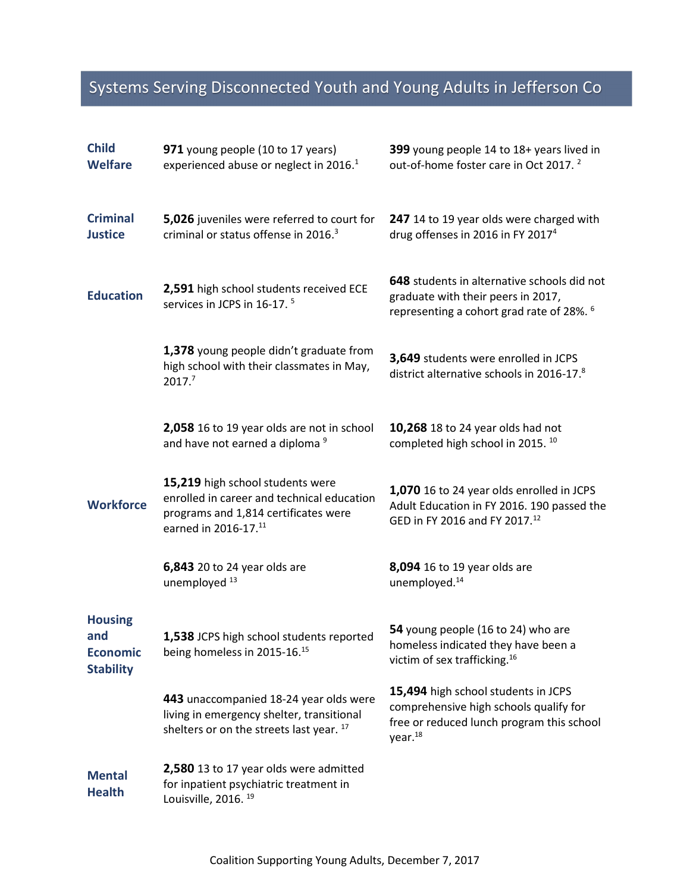## Systems Serving Disconnected Youth and Young Adults in Jefferson Co

| <b>Child</b><br><b>Welfare</b>                               | 971 young people (10 to 17 years)<br>experienced abuse or neglect in 2016. <sup>1</sup>                                                        | 399 young people 14 to 18+ years lived in<br>out-of-home foster care in Oct 2017. <sup>2</sup>                                                   |
|--------------------------------------------------------------|------------------------------------------------------------------------------------------------------------------------------------------------|--------------------------------------------------------------------------------------------------------------------------------------------------|
| <b>Criminal</b><br><b>Justice</b>                            | 5,026 juveniles were referred to court for<br>criminal or status offense in 2016. <sup>3</sup>                                                 | 247 14 to 19 year olds were charged with<br>drug offenses in 2016 in FY 2017 <sup>4</sup>                                                        |
| <b>Education</b>                                             | 2,591 high school students received ECE<br>services in JCPS in 16-17. <sup>5</sup>                                                             | 648 students in alternative schools did not<br>graduate with their peers in 2017,<br>representing a cohort grad rate of 28%. <sup>6</sup>        |
|                                                              | 1,378 young people didn't graduate from<br>high school with their classmates in May,<br>2017. <sup>7</sup>                                     | 3,649 students were enrolled in JCPS<br>district alternative schools in 2016-17.8                                                                |
|                                                              | 2,058 16 to 19 year olds are not in school<br>and have not earned a diploma <sup>9</sup>                                                       | 10,268 18 to 24 year olds had not<br>completed high school in 2015. <sup>10</sup>                                                                |
| <b>Workforce</b>                                             | 15,219 high school students were<br>enrolled in career and technical education<br>programs and 1,814 certificates were<br>earned in 2016-17.11 | 1,070 16 to 24 year olds enrolled in JCPS<br>Adult Education in FY 2016. 190 passed the<br>GED in FY 2016 and FY 2017.12                         |
|                                                              | 6,843 20 to 24 year olds are<br>unemployed <sup>13</sup>                                                                                       | 8,094 16 to 19 year olds are<br>unemployed. <sup>14</sup>                                                                                        |
| <b>Housing</b><br>and<br><b>Economic</b><br><b>Stability</b> | 1,538 JCPS high school students reported<br>being homeless in 2015-16.15                                                                       | 54 young people (16 to 24) who are<br>homeless indicated they have been a<br>victim of sex trafficking. <sup>16</sup>                            |
|                                                              | 443 unaccompanied 18-24 year olds were<br>living in emergency shelter, transitional<br>shelters or on the streets last year. 17                | 15,494 high school students in JCPS<br>comprehensive high schools qualify for<br>free or reduced lunch program this school<br>year <sup>18</sup> |
| <b>Mental</b><br><b>Health</b>                               | 2,580 13 to 17 year olds were admitted<br>for inpatient psychiatric treatment in<br>Louisville, 2016. <sup>19</sup>                            |                                                                                                                                                  |